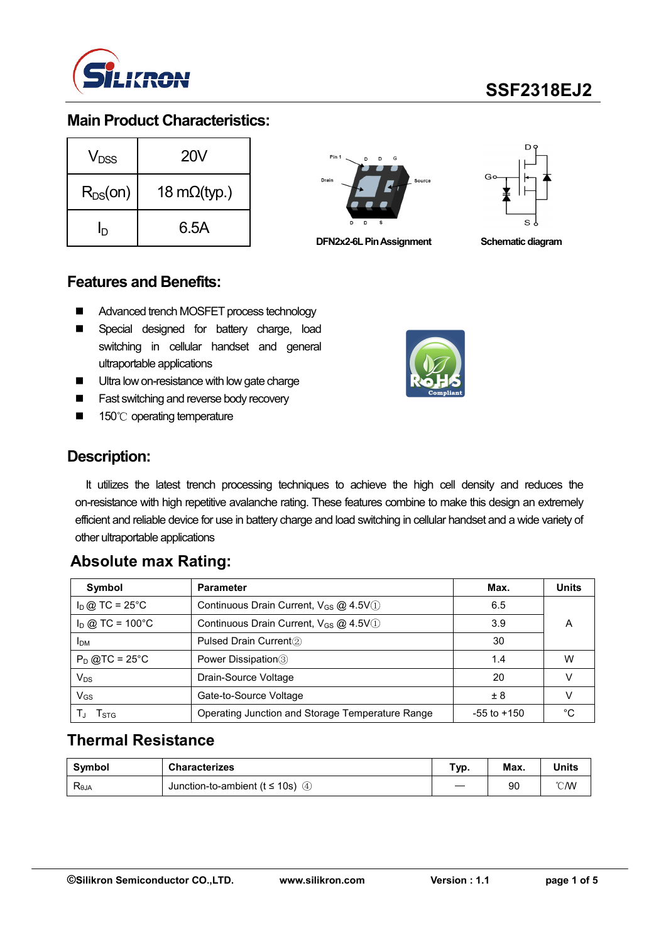

### **Main Product Characteristics:**

| $V_{DSS}$    | 20V                  |  |  |  |  |  |
|--------------|----------------------|--|--|--|--|--|
| $R_{DS}(on)$ | 18 m $\Omega$ (typ.) |  |  |  |  |  |
| ln           | 6.5A                 |  |  |  |  |  |



**DFN2x2-6L Pin Assignment Schematic diagram** 



### **Features and Benefits:**

- Advanced trench MOSFET process technology
- Special designed for battery charge, load switching in cellular handset and general ultraportable applications
- **Ultra low on-resistance with low gate charge**
- Fast switching and reverse body recovery
- 150℃ operating temperature



## **Description:**

It utilizes the latest trench processing techniques to achieve the high cell density and reduces the on-resistance with high repetitive avalanche rating. These features combine to make this design an extremely efficient and reliable device for use in battery charge and load switching in cellular handset and a wide variety of other ultraportable applications

## **Absolute max Rating:**

| Symbol                 | <b>Parameter</b>                                  | Max.            | <b>Units</b> |
|------------------------|---------------------------------------------------|-----------------|--------------|
| $I_D$ @ TC = 25°C      | Continuous Drain Current, V <sub>GS</sub> @ 4.5V1 | 6.5             |              |
| $I_D$ @ TC = 100°C     | Continuous Drain Current, V <sub>GS</sub> @ 4.5V1 |                 | Α            |
| <b>I</b> <sub>DM</sub> | Pulsed Drain Current <sup>2</sup>                 | 30              |              |
| $P_D$ @TC = 25°C       | Power Dissipation <sup>3</sup>                    | 1.4             | W            |
| $V_{DS}$               | Drain-Source Voltage                              | 20              |              |
| $V_{GS}$               | Gate-to-Source Voltage                            | $+8$            |              |
| l stg                  | Operating Junction and Storage Temperature Range  | $-55$ to $+150$ | $\sim$       |

## **Thermal Resistance**

| Symbol         | <b>Characterizes</b>                    | Typ. | Max. | <b>Units</b> |
|----------------|-----------------------------------------|------|------|--------------|
| $R_{\theta$ JA | Junction-to-ambient ( $t \le 10$ s) (4) |      | 90   | ℃W           |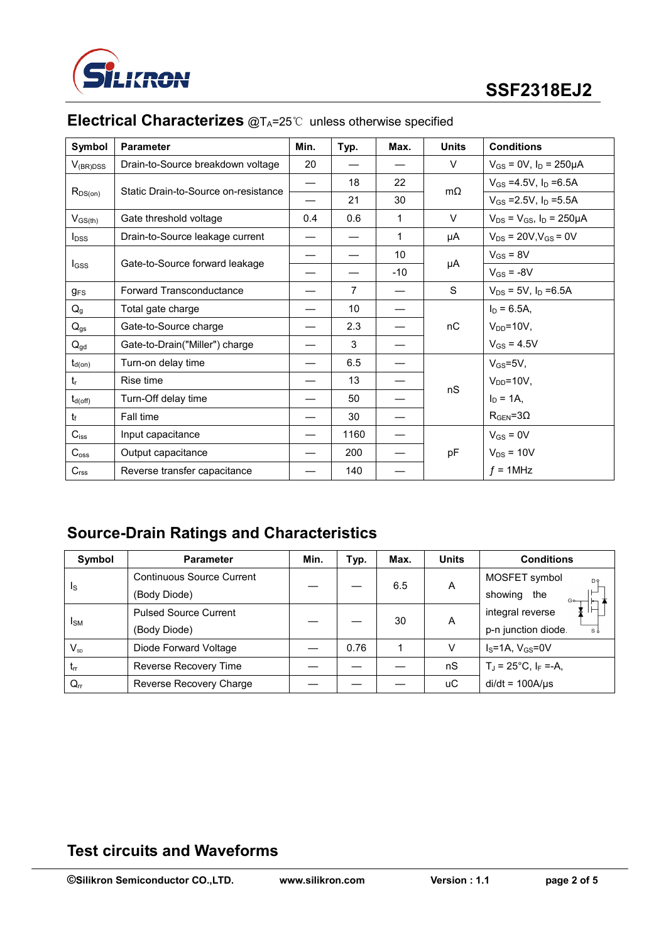

| Symbol                  | <b>Parameter</b>                     | Min. | Typ.           | Max.  | <b>Units</b> | <b>Conditions</b>                     |
|-------------------------|--------------------------------------|------|----------------|-------|--------------|---------------------------------------|
| $V_{(BR)DSS}$           | Drain-to-Source breakdown voltage    | 20   |                |       | $\vee$       | $V_{GS} = 0V$ , $I_D = 250 \mu A$     |
| $R_{DS(on)}$            | Static Drain-to-Source on-resistance |      | 18             | 22    | $m\Omega$    | $V_{GS} = 4.5V$ , $I_D = 6.5A$        |
|                         |                                      |      | 21             | 30    |              | $V_{GS} = 2.5V$ , $I_D = 5.5A$        |
| $V_{GS(th)}$            | Gate threshold voltage               | 0.4  | 0.6            | 1     | V            | $V_{DS} = V_{GS}$ , $I_D = 250 \mu A$ |
| <b>I</b> <sub>DSS</sub> | Drain-to-Source leakage current      |      |                | 1     | μA           | $V_{DS}$ = 20V, $V_{GS}$ = 0V         |
|                         | Gate-to-Source forward leakage       |      |                | 10    |              | $V_{GS} = 8V$                         |
| $I_{GSS}$               |                                      |      |                | $-10$ | μA           | $V_{GS} = -8V$                        |
| $g_{FS}$                | <b>Forward Transconductance</b>      |      | $\overline{7}$ |       | S            | $V_{DS} = 5V$ , $I_D = 6.5A$          |
| $Q_g$                   | Total gate charge                    |      | 10             |       |              | $I_D = 6.5A$ ,                        |
| $Q_{gs}$                | Gate-to-Source charge                |      | 2.3            |       | nC           | $V_{DD} = 10V$ ,                      |
| $Q_{gd}$                | Gate-to-Drain("Miller") charge       |      | 3              |       |              | $V_{GS} = 4.5V$                       |
| $t_{d(on)}$             | Turn-on delay time                   |      | 6.5            |       | nS           | $V_{GS} = 5V$ ,                       |
| $t_{r}$                 | Rise time                            |      | 13             |       |              | $V_{DD} = 10V$ ,                      |
| $t_{d(\text{off})}$     | Turn-Off delay time                  |      | 50             |       |              | $I_D = 1A$ .                          |
| t                       | Fall time                            |      | 30             |       |              | $R_{\text{GEN}} = 3\Omega$            |
| $C_{iss}$               | Input capacitance                    |      | 1160           |       | pF           | $V_{GS} = 0V$                         |
| $C_{\rm oss}$           | Output capacitance                   |      | 200            |       |              | $V_{DS}$ = 10V                        |
| C <sub>rss</sub>        | Reverse transfer capacitance         |      | 140            |       |              | $f = 1$ MHz                           |

# **Electrical Characterizes** @T<sub>A</sub>=25℃ unless otherwise specified

# **Source-Drain Ratings and Characteristics**

| Symbol                  | <b>Parameter</b>                 | Min. | Typ. | Max. | <b>Units</b> | <b>Conditions</b>               |
|-------------------------|----------------------------------|------|------|------|--------------|---------------------------------|
| $\mathsf{I}_\mathsf{S}$ | <b>Continuous Source Current</b> |      |      | 6.5  | A            | MOSFET symbol<br>D <sub>9</sub> |
|                         | (Body Diode)                     |      |      |      |              | showing<br>the<br>$G_{\bullet}$ |
| Ism                     | <b>Pulsed Source Current</b>     |      |      | 30   | A            | integral reverse                |
|                         | (Body Diode)                     |      |      |      |              | p-n junction diode.<br>sl       |
| $V_{SD}$                | Diode Forward Voltage            |      | 0.76 |      | v            | $IS=1A$ , $VGS=0V$              |
| $t_{rr}$                | Reverse Recovery Time            |      |      |      | nS           | $T_J = 25^{\circ}C, I_F = -A,$  |
| $Q_{rr}$                | Reverse Recovery Charge          |      |      |      | иC           | $di/dt = 100A/\mu s$            |

## **Test circuits and Waveforms**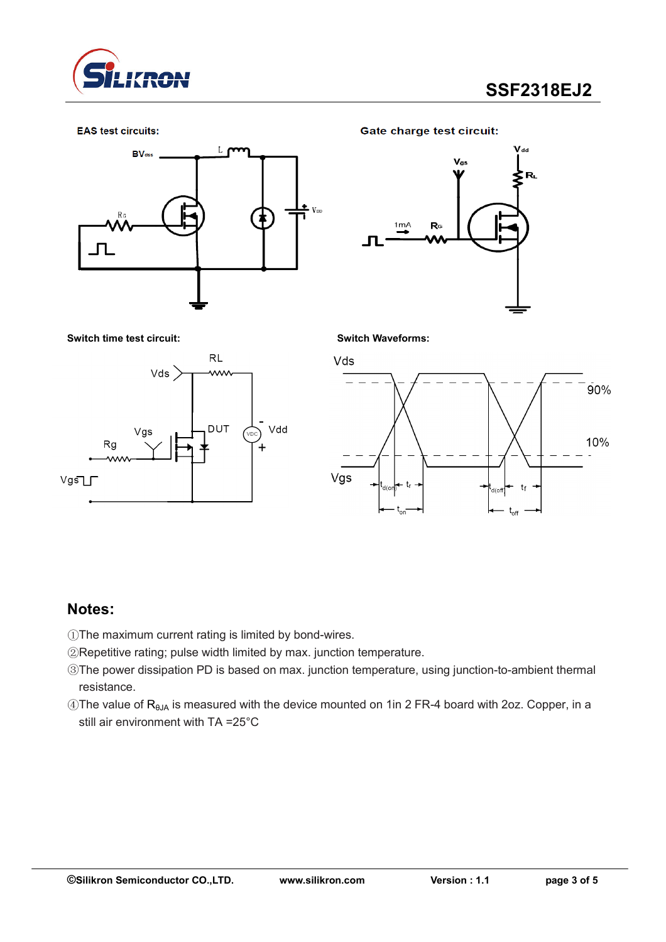

#### **EAS** test circuits:



**Gate charge test circuit:** 



**Switch time test circuit: Switch Waveforms:**





### **Notes:**

- ①The maximum current rating is limited by bond-wires.
- ②Repetitive rating; pulse width limited by max. junction temperature.
- ③The power dissipation PD is based on max. junction temperature, using junction-to-ambient thermal resistance.
- $\circledA$ The value of R<sub>θJA</sub> is measured with the device mounted on 1in 2 FR-4 board with 2oz. Copper, in a still air environment with TA =25°C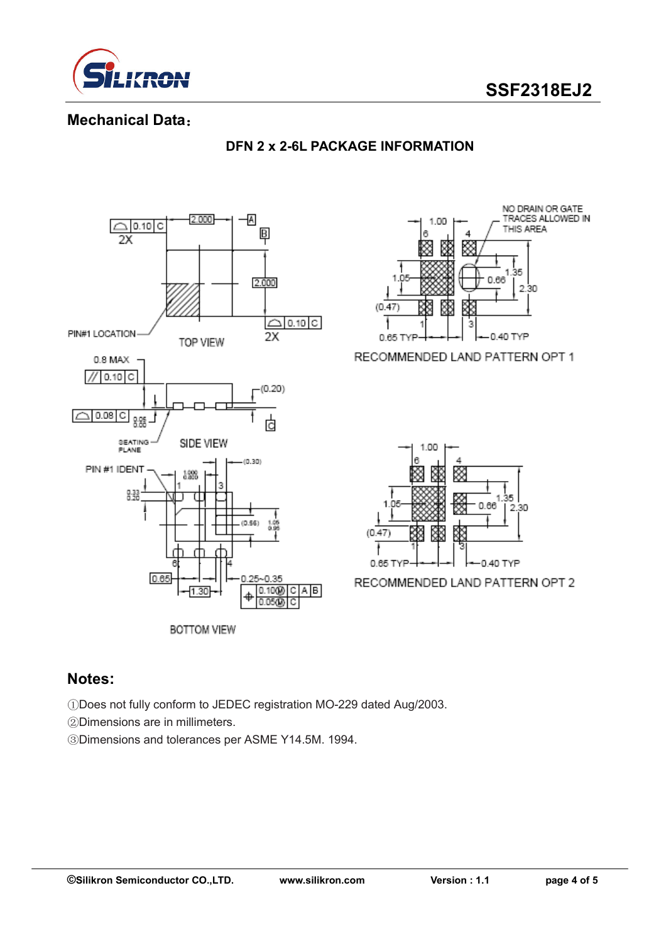



### **Mechanical Data**:



#### **DFN 2 x 2-6L PACKAGE INFORMATION**

## **Notes:**

①Does not fully conform to JEDEC registration MO-229 dated Aug/2003.

②Dimensions are in millimeters.

③Dimensions and tolerances per ASME Y14.5M. 1994.



RECOMMENDED LAND PATTERN OPT 1



RECOMMENDED LAND PATTERN OPT 2